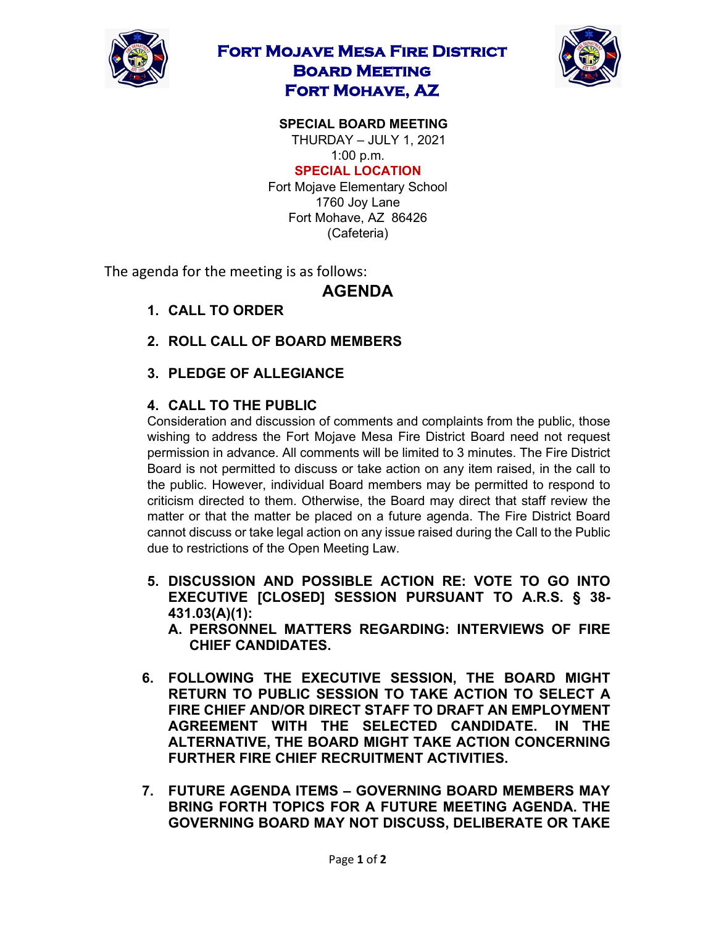

# **Fort Mojave Mesa Fire District Board Meeting Fort Mohave, AZ**



#### **SPECIAL BOARD MEETING**  THURDAY – JULY 1, 2021

1:00 p.m.

#### **SPECIAL LOCATION**

Fort Mojave Elementary School 1760 Joy Lane Fort Mohave, AZ 86426 (Cafeteria)

The agenda for the meeting is as follows:

### **AGENDA**

- **1. CALL TO ORDER**
- **2. ROLL CALL OF BOARD MEMBERS**
- **3. PLEDGE OF ALLEGIANCE**

#### **4. CALL TO THE PUBLIC**

Consideration and discussion of comments and complaints from the public, those wishing to address the Fort Mojave Mesa Fire District Board need not request permission in advance. All comments will be limited to 3 minutes. The Fire District Board is not permitted to discuss or take action on any item raised, in the call to the public. However, individual Board members may be permitted to respond to criticism directed to them. Otherwise, the Board may direct that staff review the matter or that the matter be placed on a future agenda. The Fire District Board cannot discuss or take legal action on any issue raised during the Call to the Public due to restrictions of the Open Meeting Law.

- **5. DISCUSSION AND POSSIBLE ACTION RE: VOTE TO GO INTO EXECUTIVE [CLOSED] SESSION PURSUANT TO A.R.S. § 38- 431.03(A)(1):**
	- **A. PERSONNEL MATTERS REGARDING: INTERVIEWS OF FIRE CHIEF CANDIDATES.**
- **6. FOLLOWING THE EXECUTIVE SESSION, THE BOARD MIGHT RETURN TO PUBLIC SESSION TO TAKE ACTION TO SELECT A FIRE CHIEF AND/OR DIRECT STAFF TO DRAFT AN EMPLOYMENT AGREEMENT WITH THE SELECTED CANDIDATE. IN THE ALTERNATIVE, THE BOARD MIGHT TAKE ACTION CONCERNING FURTHER FIRE CHIEF RECRUITMENT ACTIVITIES.**
- **7. FUTURE AGENDA ITEMS – GOVERNING BOARD MEMBERS MAY BRING FORTH TOPICS FOR A FUTURE MEETING AGENDA. THE GOVERNING BOARD MAY NOT DISCUSS, DELIBERATE OR TAKE**